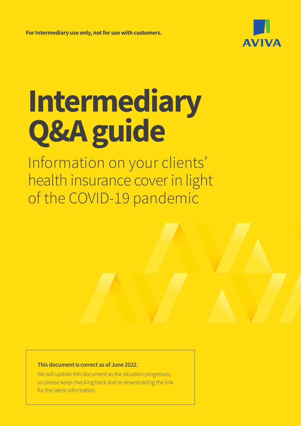

# **Intermediary Q&A guide**

Information on your clients' health insurance cover in light of the COVID-19 pandemic

#### **This document is correct as of June 2022.**

We will update this document as the situation progresses, so please keep checking back and re-downloading the link for the latest information.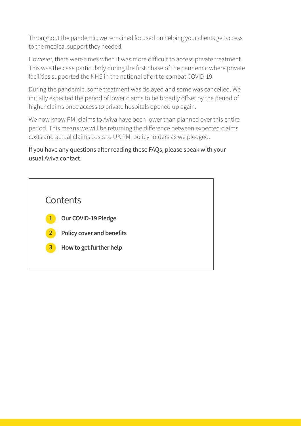Throughout the pandemic, we remained focused on helping your clients get access to the medical support they needed.

However, there were times when it was more difficult to access private treatment. This was the case particularly during the first phase of the pandemic where private facilities supported the NHS in the national effort to combat COVID-19.

During the pandemic, some treatment was delayed and some was cancelled. We initially expected the period of lower claims to be broadly offset by the period of higher claims once access to private hospitals opened up again.

We now know PMI claims to Aviva have been lower than planned over this entire period. This means we will be returning the difference between expected claims costs and actual claims costs to UK PMI policyholders as we pledged.

#### If you have any questions after reading these FAQs, please speak with your usual Aviva contact.

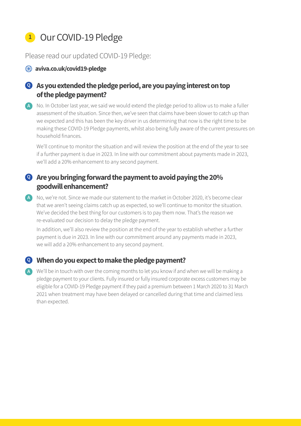# **<sup>1</sup>** Our COVID-19 Pledge

Please read our updated COVID-19 Pledge:

#### **<sup>4</sup>** aviva.co.uk/covid19-pledge

### **As you extended the pledge period, are you paying interest on top Q of the pledge payment?**

A No. In October last year, we said we would extend the pledge period to allow us to make a fuller assessment of the situation. Since then, we've seen that claims have been slower to catch up than we expected and this has been the key driver in us determining that now is the right time to be making these COVID-19 Pledge payments, whilst also being fully aware of the current pressures on household finances.

We'll continue to monitor the situation and will review the position at the end of the year to see if a further payment is due in 2023. In line with our commitment about payments made in 2023, we'll add a 20% enhancement to any second payment.

#### **Are you bringing forward the payment to avoid paying the 20% Q goodwill enhancement?**

A No, we're not. Since we made our statement to the market in October 2020, it's become clear that we aren't seeing claims catch up as expected, so we'll continue to monitor the situation. We've decided the best thing for our customers is to pay them now. That's the reason we re-evaluated our decision to delay the pledge payment.

In addition, we'll also review the position at the end of the year to establish whether a further payment is due in 2023. In line with our commitment around any payments made in 2023, we will add a 20% enhancement to any second payment.

#### **When do you expect to make the pledge payment? Q**

We'll be in touch with over the coming months to let you know if and when we will be making a **A**pledge payment to your clients. Fully insured or fully insured corporate excess customers may be eligible for a COVID-19 Pledge payment if they paid a premium between 1 March 2020 to 31 March 2021 when treatment may have been delayed or cancelled during that time and claimed less than expected.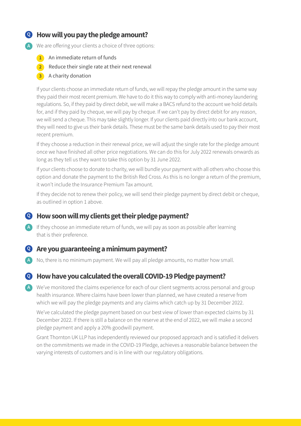#### **How will you pay the pledge amount? Q**

- We are offering your clients a choice of three options: **A**
	- **1** An immediate return of funds
	- **2** Reduce their single rate at their next renewal
	- **3** A charity donation

If your clients choose an immediate return of funds, we will repay the pledge amount in the same way they paid their most recent premium. We have to do it this way to comply with anti-money laundering regulations. So, if they paid by direct debit, we will make a BACS refund to the account we hold details for, and if they paid by cheque, we will pay by cheque. If we can't pay by direct debit for any reason, we will send a cheque. This may take slightly longer. If your clients paid directly into our bank account, they will need to give us their bank details. These must be the same bank details used to pay their most recent premium.

If they choose a reduction in their renewal price, we will adjust the single rate for the pledge amount once we have finished all other price negotiations. We can do this for July 2022 renewals onwards as long as they tell us they want to take this option by 31 June 2022.

If your clients choose to donate to charity, we will bundle your payment with all others who choose this option and donate the payment to the British Red Cross. As this is no longer a return of the premium, it won't include the Insurance Premium Tax amount.

If they decide not to renew their policy, we will send their pledge payment by direct debit or cheque, as outlined in option 1 above.

#### **How soon will my clients get their pledge payment? Q**

A If they choose an immediate return of funds, we will pay as soon as possible after learning that is their preference.

#### **Are you guaranteeing a minimum payment? Q**

No, there is no minimum payment. We will pay all pledge amounts, no matter how small. **A**

**How have you calculated the overall COVID-19 Pledge payment? Q**

We've monitored the claims experience for each of our client segments across personal and group **A**health insurance. Where claims have been lower than planned, we have created a reserve from which we will pay the pledge payments and any claims which catch up by 31 December 2022.

We've calculated the pledge payment based on our best view of lower than expected claims by 31 December 2022. If there is still a balance on the reserve at the end of 2022, we will make a second pledge payment and apply a 20% goodwill payment.

Grant Thornton UK LLP has independently reviewed our proposed approach and is satisfied it delivers on the commitments we made in the COVID-19 Pledge, achieves a reasonable balance between the varying interests of customers and is in line with our regulatory obligations.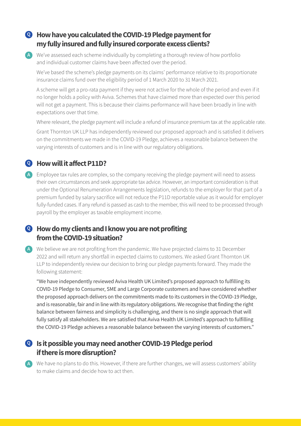#### **How have you calculated the COVID-19 Pledge payment for Q my fully insured and fully insured corporate excess clients?**

We've assessed each scheme individually by completing a thorough review of how portfolio **A** and individual customer claims have been affected over the period.

We've based the scheme's pledge payments on its claims' performance relative to its proportionate insurance claims fund over the eligibility period of 1 March 2020 to 31 March 2021.

A scheme will get a pro-rata payment if they were not active for the whole of the period and even if it no longer holds a policy with Aviva. Schemes that have claimed more than expected over this period will not get a payment. This is because their claims performance will have been broadly in line with expectations over that time.

Where relevant, the pledge payment will include a refund of insurance premium tax at the applicable rate.

Grant Thornton UK LLP has independently reviewed our proposed approach and is satisfied it delivers on the commitments we made in the COVID-19 Pledge, achieves a reasonable balance between the varying interests of customers and is in line with our regulatory obligations.

#### **How will it affect P11D? Q**

Employee tax rules are complex, so the company receiving the pledge payment will need to assess **A** their own circumstances and seek appropriate tax advice. However, an important consideration is that under the Optional Renumeration Arrangements legislation, refunds to the employer for that part of a premium funded by salary sacrifice will not reduce the P11D reportable value as it would for employer fully-funded cases. If any refund is passed as cash to the member, this will need to be processed through payroll by the employer as taxable employment income.

#### **How do my clients and I know you are not profiting Q from the COVID-19 situation?**

We believe we are not profiting from the pandemic. We have projected claims to 31 December **A** 2022 and will return any shortfall in expected claims to customers. We asked Grant Thornton UK LLP to independently review our decision to bring our pledge payments forward. They made the following statement:

"We have independently reviewed Aviva Health UK Limited's proposed approach to fulfilling its COVID-19 Pledge to Consumer, SME and Large Corporate customers and have considered whether the proposed approach delivers on the commitments made to its customers in the COVID-19 Pledge, and is reasonable, fair and in line with its regulatory obligations. We recognise that finding the right balance between fairness and simplicity is challenging, and there is no single approach that will fully satisfy all stakeholders. We are satisfied that Aviva Health UK Limited's approach to fulfilling the COVID-19 Pledge achieves a reasonable balance between the varying interests of customers."

#### **Is it possible you may need another COVID-19 Pledge period Q if there is more disruption?**

We have no plans to do this. However, if there are further changes, we will assess customers' ability **A**to make claims and decide how to act then.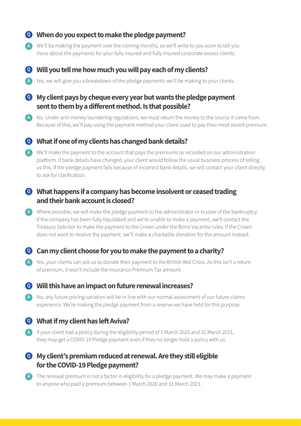#### **When do you expect to make the pledge payment? Q**

We'll be making the payment over the coming months, so we'll write to you soon to tell you **A** more about the payments for your fully insured and fully insured corporate excess clients.



#### **Will you tell me how much you will pay each of my clients? Q**

A Yes, we will give you a breakdown of the pledge payments we'll be making to your clients.

#### **My client pays by cheque every year but wants the pledge payment Q sent to them by a different method. Is that possible?**

A No. Under anti-money laundering regulations, we must return the money to the source it came from. Because of this, we'll pay using the payment method your client used to pay their most recent premium.

#### **What if one of my clients has changed bank details? Q**

We'll make the payment to the account that pays the premiums as recorded on our administration **A** platform. If bank details have changed, your client would follow the usual business process of telling us this. If the pledge payment fails because of incorrect bank details, we will contact your client directly to ask for clarification.

#### **What happens if a company has become insolvent or ceased trading Q and their bank account is closed?**

Where possible, we will make the pledge payment to the administrator or trustee of the bankruptcy. **A** If the company has been fully liquidated and we're unable to make a payment, we'll contact the Treasury Solicitor to make the payment to the Crown under the Bona Vacantia rules. If the Crown does not want to receive the payment, we'll make a charitable donation for the amount instead.

#### **Can my client choose for you to make the payment to a charity? Q**

A Yes, your clients can ask us to donate their payment to the British Red Cross. As this isn't a return of premium, it won't include the Insurance Premium Tax amount.

#### **Will this have an impact on future renewal increases? Q**

No, any future pricing variation will be in line with our normal assessment of our future claims **A** experience. We're making the pledge payment from a reserve we have held for this purpose.

#### **What if my client has left Aviva? Q**

A If your client had a policy during the eligibility period of 1 March 2020 and 31 March 2021, they may get a COVID-19 Pledge payment even if they no longer hold a policy with us.

#### **My client's premium reduced at renewal. Are they still eligible Q for the COVID-19 Pledge payment?**

A The renewal premium is not a factor in eligibility for a pledge payment. We may make a payment to anyone who paid a premium between 1 March 2020 and 31 March 2021.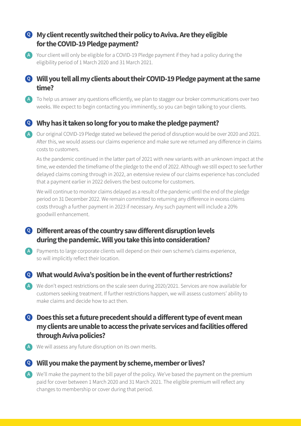#### **My client recently switched their policy to Aviva. Are they eligible Q for the COVID-19 Pledge payment?**

A Your client will only be eligible for a COVID-19 Pledge payment if they had a policy during the eligibility period of 1 March 2020 and 31 March 2021.

#### **Will you tell all my clients about their COVID-19 Pledge payment at the same Q time?**

To help us answer any questions efficiently, we plan to stagger our broker communications over two **A** weeks. We expect to begin contacting you imminently, so you can begin talking to your clients.

#### **Why has it taken so long for you to make the pledge payment? Q**

Our original COVID-19 Pledge stated we believed the period of disruption would be over 2020 and 2021. **A** After this, we would assess our claims experience and make sure we returned any difference in claims costs to customers.

As the pandemic continued in the latter part of 2021 with new variants with an unknown impact at the time, we extended the timeframe of the pledge to the end of 2022. Although we still expect to see further delayed claims coming through in 2022, an extensive review of our claims experience has concluded that a payment earlier in 2022 delivers the best outcome for customers.

We will continue to monitor claims delayed as a result of the pandemic until the end of the pledge period on 31 December 2022. We remain committed to returning any difference in excess claims costs through a further payment in 2023 if necessary. Any such payment will include a 20% goodwill enhancement.

#### **Different areas of the country saw different disruption levels Q during the pandemic. Will you take this into consideration?**

A Payments to large corporate clients will depend on their own scheme's claims experience, so will implicitly reflect their location.

#### **What would Aviva's position be in the event of further restrictions? Q**

We don't expect restrictions on the scale seen during 2020/2021. Services are now available for **A** customers seeking treatment. If further restrictions happen, we will assess customers' ability to make claims and decide how to act then.

#### **Does this set a future precedent should a different type of event mean Q my clients are unable to access the private services and facilities offered through Aviva policies?**

We will assess any future disruption on its own merits. **A**

#### **Will you make the payment by scheme, member or lives? Q**

We'll make the payment to the bill payer of the policy. We've based the payment on the premium **A**paid for cover between 1 March 2020 and 31 March 2021. The eligible premium will reflect any changes to membership or cover during that period.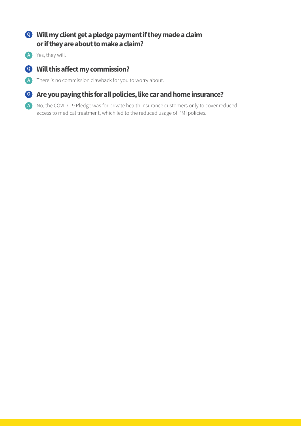#### **Will my client get a pledge payment if they made a claim Q or if they are about to make a claim?**

Yes, they will. **A**

### **Will this affect my commission? Q**

A There is no commission clawback for you to worry about.

#### **Are you paying this for all policies, like car and home insurance? Q**

A No, the COVID-19 Pledge was for private health insurance customers only to cover reduced access to medical treatment, which led to the reduced usage of PMI policies.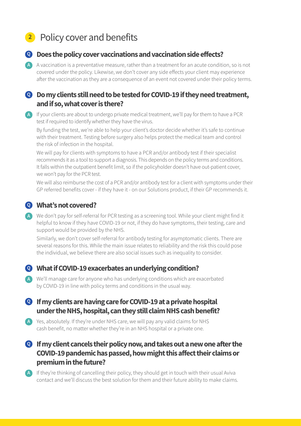# **<sup>2</sup>** Policy cover and benefits



#### **Does the policy cover vaccinations and vaccination side effects? Q**

A vaccination is a preventative measure, rather than a treatment for an acute condition, so is not **A** covered under the policy. Likewise, we don't cover any side effects your client may experience after the vaccination as they are a consequence of an event not covered under their policy terms.

#### **Do my clients still need to be tested for COVID-19 if they need treatment, Q and if so, what cover is there?**

A If your clients are about to undergo private medical treatment, we'll pay for them to have a PCR test if required to identify whether they have the virus.

By funding the test, we're able to help your client's doctor decide whether it's safe to continue with their treatment. Testing before surgery also helps protect the medical team and control the risk of infection in the hospital.

We will pay for clients with symptoms to have a PCR and/or antibody test if their specialist recommends it as a tool to support a diagnosis. This depends on the policy terms and conditions. It falls within the outpatient benefit limit, so if the policyholder doesn't have out-patient cover, we won't pay for the PCR test.

We will also reimburse the cost of a PCR and/or antibody test for a client with symptoms under their GP referred benefits cover - if they have it - on our Solutions product, if their GP recommends it.

#### **What's not covered? Q**

We don't pay for self-referral for PCR testing as a screening tool. While your client might find it **A** helpful to know if they have COVID-19 or not, if they do have symptoms, their testing, care and support would be provided by the NHS.

Similarly, we don't cover self-referral for antibody testing for asymptomatic clients. There are several reasons for this. While the main issue relates to reliability and the risk this could pose the individual, we believe there are also social issues such as inequality to consider.

#### **What if COVID-19 exacerbates an underlying condition? Q**

We'll manage care for anyone who has underlying conditions which are exacerbated **A** by COVID-19 in line with policy terms and conditions in the usual way.

#### **If my clients are having care for COVID-19 at a private hospital Q under the NHS, hospital, can they still claim NHS cash benefit?**

A Yes, absolutely. If they're under NHS care, we will pay any valid claims for NHS cash benefit, no matter whether they're in an NHS hospital or a private one.

#### **If my client cancels their policy now, and takes out a new one after the Q COVID-19 pandemic has passed, how might this affect their claims or premium in the future?**

A If they're thinking of cancelling their policy, they should get in touch with their usual Aviva contact and we'll discuss the best solution for them and their future ability to make claims.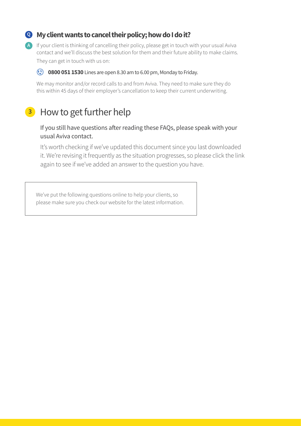#### **My client wants to cancel their policy; how do I do it? Q**

A If your client is thinking of cancelling their policy, please get in touch with your usual Aviva contact and we'll discuss the best solution for them and their future ability to make claims. They can get in touch with us on:

#### $\mathbf{C}$  **0800 051 1530** Lines are open 8.30 am to 6.00 pm, Monday to Friday.

We may monitor and/or record calls to and from Aviva. They need to make sure they do this within 45 days of their employer's cancellation to keep their current underwriting.

## **<sup>3</sup>** How to get further help

#### If you still have questions after reading these FAQs, please speak with your usual Aviva contact.

 It's worth checking if we've updated this document since you last downloaded it. We're revising it frequently as the situation progresses, so please click the link again to see if we've added an answer to the question you have.

We've put the following questions online to help your clients, so please make sure you check our website for the latest information.